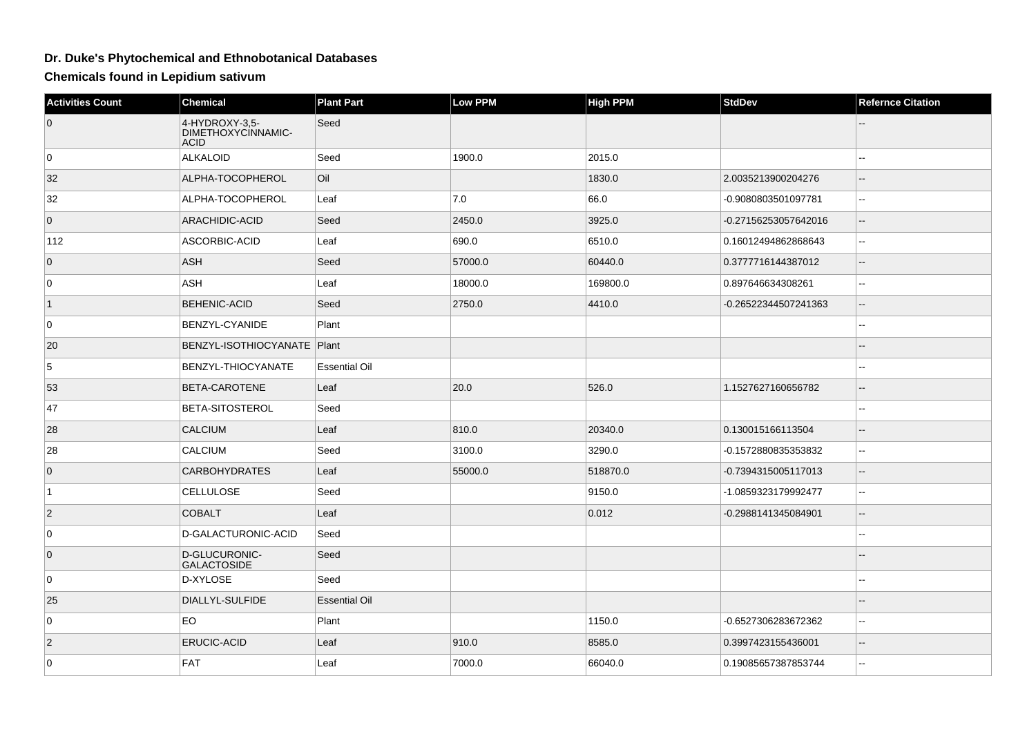## **Dr. Duke's Phytochemical and Ethnobotanical Databases**

**Chemicals found in Lepidium sativum**

| <b>Activities Count</b> | Chemical                                            | <b>Plant Part</b>    | Low PPM | <b>High PPM</b> | <b>StdDev</b>        | <b>Refernce Citation</b> |
|-------------------------|-----------------------------------------------------|----------------------|---------|-----------------|----------------------|--------------------------|
| $\overline{0}$          | 4-HYDROXY-3,5-<br>DIMETHOXYCINNAMIC-<br><b>ACID</b> | Seed                 |         |                 |                      |                          |
| 0                       | ALKALOID                                            | Seed                 | 1900.0  | 2015.0          |                      | шш.                      |
| 32                      | ALPHA-TOCOPHEROL                                    | Oil                  |         | 1830.0          | 2.0035213900204276   |                          |
| 32                      | ALPHA-TOCOPHEROL                                    | Leaf                 | 7.0     | 66.0            | -0.9080803501097781  | $\sim$                   |
| $\overline{0}$          | ARACHIDIC-ACID                                      | Seed                 | 2450.0  | 3925.0          | -0.27156253057642016 | $\overline{\phantom{a}}$ |
| 112                     | ASCORBIC-ACID                                       | Leaf                 | 690.0   | 6510.0          | 0.16012494862868643  | $\sim$ $\sim$            |
| $\overline{0}$          | ASH                                                 | Seed                 | 57000.0 | 60440.0         | 0.3777716144387012   | $\overline{\phantom{a}}$ |
| $\overline{0}$          | <b>ASH</b>                                          | Leaf                 | 18000.0 | 169800.0        | 0.897646634308261    | $\overline{\phantom{a}}$ |
| $\vert$ 1               | <b>BEHENIC-ACID</b>                                 | Seed                 | 2750.0  | 4410.0          | -0.26522344507241363 | $-$                      |
| 0                       | BENZYL-CYANIDE                                      | Plant                |         |                 |                      | $\sim$ $\sim$            |
| 20                      | BENZYL-ISOTHIOCYANATE   Plant                       |                      |         |                 |                      |                          |
| 5                       | <b>BENZYL-THIOCYANATE</b>                           | <b>Essential Oil</b> |         |                 |                      | 44                       |
| 53                      | BETA-CAROTENE                                       | Leaf                 | 20.0    | 526.0           | 1.1527627160656782   | $\sim$ $\sim$            |
| 47                      | <b>BETA-SITOSTEROL</b>                              | Seed                 |         |                 |                      | $\overline{\phantom{a}}$ |
| 28                      | CALCIUM                                             | Leaf                 | 810.0   | 20340.0         | 0.130015166113504    | --                       |
| 28                      | <b>CALCIUM</b>                                      | Seed                 | 3100.0  | 3290.0          | -0.1572880835353832  | $\overline{\phantom{a}}$ |
| $\overline{0}$          | <b>CARBOHYDRATES</b>                                | Leaf                 | 55000.0 | 518870.0        | -0.7394315005117013  | $\overline{\phantom{a}}$ |
| $\overline{1}$          | <b>CELLULOSE</b>                                    | Seed                 |         | 9150.0          | -1.0859323179992477  | $\overline{a}$           |
| $\vert$ 2               | <b>COBALT</b>                                       | Leaf                 |         | 0.012           | -0.2988141345084901  | $-$                      |
| $\overline{0}$          | D-GALACTURONIC-ACID                                 | Seed                 |         |                 |                      | Щ,                       |
| $\overline{0}$          | D-GLUCURONIC-<br><b>GALACTOSIDE</b>                 | Seed                 |         |                 |                      |                          |
| 0                       | D-XYLOSE                                            | Seed                 |         |                 |                      |                          |
| 25                      | DIALLYL-SULFIDE                                     | <b>Essential Oil</b> |         |                 |                      |                          |
| $\overline{0}$          | <b>EO</b>                                           | Plant                |         | 1150.0          | -0.6527306283672362  | $\overline{\phantom{a}}$ |
| $\overline{2}$          | <b>ERUCIC-ACID</b>                                  | Leaf                 | 910.0   | 8585.0          | 0.3997423155436001   | $\overline{\phantom{a}}$ |
| 0                       | <b>FAT</b>                                          | Leaf                 | 7000.0  | 66040.0         | 0.19085657387853744  | $\overline{\phantom{a}}$ |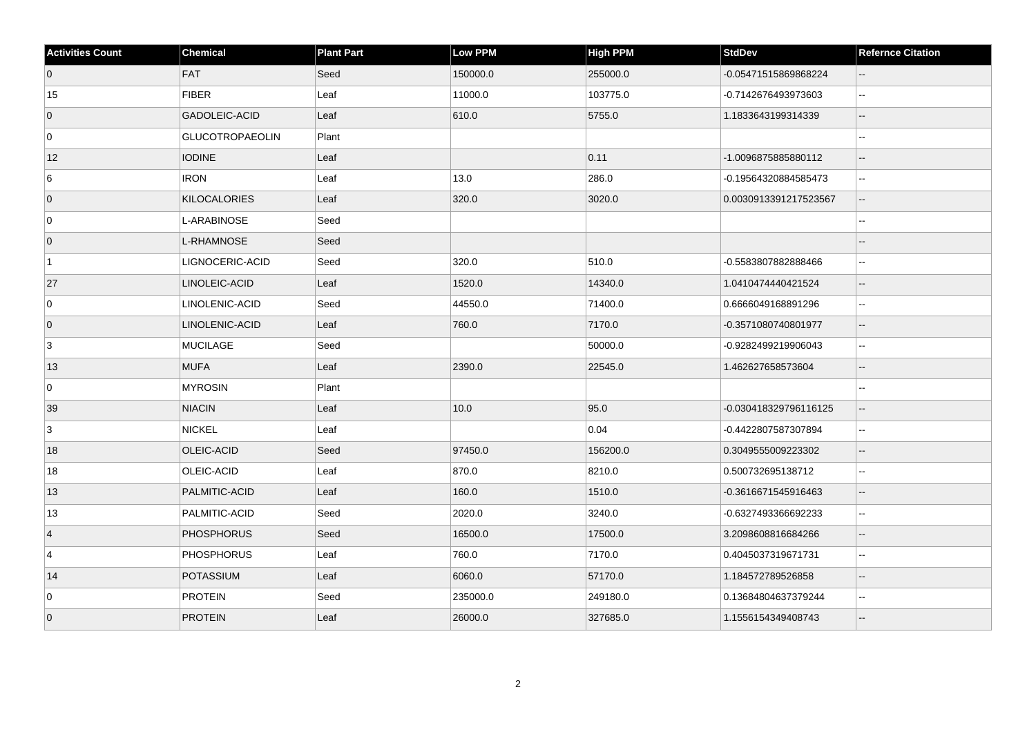| <b>Activities Count</b> | <b>Chemical</b>        | <b>Plant Part</b> | <b>Low PPM</b> | <b>High PPM</b> | <b>StdDev</b>         | <b>Refernce Citation</b>                      |
|-------------------------|------------------------|-------------------|----------------|-----------------|-----------------------|-----------------------------------------------|
| $\overline{0}$          | FAT                    | Seed              | 150000.0       | 255000.0        | -0.05471515869868224  | $\sim$ $\sim$                                 |
| $15\,$                  | <b>FIBER</b>           | Leaf              | 11000.0        | 103775.0        | -0.7142676493973603   | $\sim$                                        |
| $\overline{0}$          | GADOLEIC-ACID          | Leaf              | 610.0          | 5755.0          | 1.1833643199314339    | $\overline{\phantom{a}}$                      |
| $\overline{0}$          | <b>GLUCOTROPAEOLIN</b> | Plant             |                |                 |                       | $\overline{\phantom{a}}$                      |
| 12                      | <b>IODINE</b>          | Leaf              |                | 0.11            | -1.0096875885880112   | $\overline{\phantom{a}}$                      |
| 6                       | <b>IRON</b>            | Leaf              | 13.0           | 286.0           | -0.19564320884585473  | $\mathcal{L}_{\mathcal{F}}$                   |
| $\overline{0}$          | KILOCALORIES           | Leaf              | 320.0          | 3020.0          | 0.0030913391217523567 | $\mathord{\hspace{1pt}\text{--}\hspace{1pt}}$ |
| $\overline{0}$          | L-ARABINOSE            | Seed              |                |                 |                       |                                               |
| $\overline{0}$          | L-RHAMNOSE             | Seed              |                |                 |                       | $\overline{\phantom{a}}$                      |
| $\overline{1}$          | LIGNOCERIC-ACID        | Seed              | 320.0          | 510.0           | -0.5583807882888466   | $\sim$                                        |
| 27                      | LINOLEIC-ACID          | Leaf              | 1520.0         | 14340.0         | 1.0410474440421524    | $\overline{\phantom{a}}$                      |
| 0                       | LINOLENIC-ACID         | Seed              | 44550.0        | 71400.0         | 0.6666049168891296    | $\mathbf{u}$                                  |
| $\overline{0}$          | LINOLENIC-ACID         | Leaf              | 760.0          | 7170.0          | -0.3571080740801977   | $\overline{a}$                                |
| 3                       | MUCILAGE               | Seed              |                | 50000.0         | -0.9282499219906043   | $\sim$ $\sim$                                 |
| 13                      | <b>MUFA</b>            | Leaf              | 2390.0         | 22545.0         | 1.462627658573604     | $\overline{\phantom{a}}$                      |
| 0                       | <b>MYROSIN</b>         | Plant             |                |                 |                       |                                               |
| 39                      | <b>NIACIN</b>          | Leaf              | 10.0           | 95.0            | -0.030418329796116125 | $\overline{\phantom{a}}$                      |
| 3                       | NICKEL                 | Leaf              |                | 0.04            | -0.4422807587307894   | $\mathcal{L}_{\mathcal{F}}$                   |
| 18                      | OLEIC-ACID             | Seed              | 97450.0        | 156200.0        | 0.3049555009223302    | $\sim$                                        |
| 18                      | OLEIC-ACID             | Leaf              | 870.0          | 8210.0          | 0.500732695138712     | $\sim$ $\sim$                                 |
| 13                      | PALMITIC-ACID          | Leaf              | 160.0          | 1510.0          | -0.3616671545916463   | $\overline{\phantom{a}}$                      |
| 13                      | PALMITIC-ACID          | Seed              | 2020.0         | 3240.0          | -0.6327493366692233   | $\mathbf{u}$                                  |
| $\overline{4}$          | <b>PHOSPHORUS</b>      | Seed              | 16500.0        | 17500.0         | 3.2098608816684266    | $\overline{\phantom{a}}$                      |
| 4                       | <b>PHOSPHORUS</b>      | Leaf              | 760.0          | 7170.0          | 0.4045037319671731    | $\ddotsc$                                     |
| 14                      | <b>POTASSIUM</b>       | Leaf              | 6060.0         | 57170.0         | 1.184572789526858     | $\overline{\phantom{a}}$                      |
| 0                       | <b>PROTEIN</b>         | Seed              | 235000.0       | 249180.0        | 0.13684804637379244   | $\sim$                                        |
| $\overline{0}$          | <b>PROTEIN</b>         | Leaf              | 26000.0        | 327685.0        | 1.1556154349408743    |                                               |